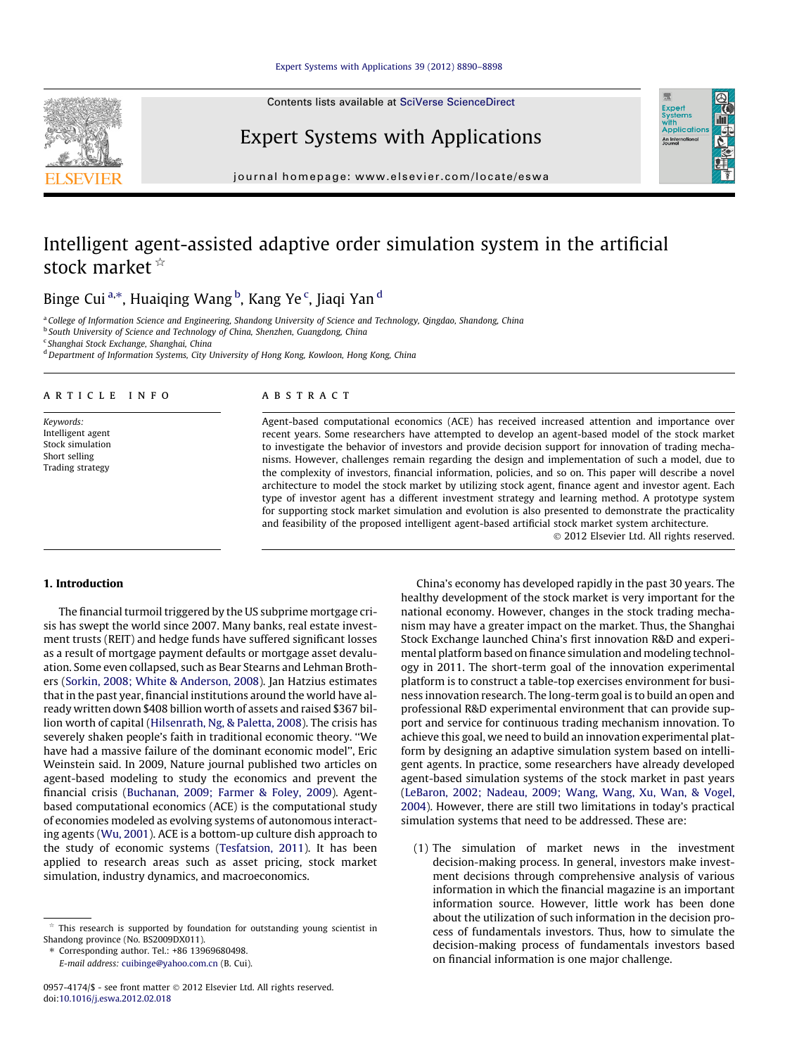Contents lists available at [SciVerse ScienceDirect](http://www.sciencedirect.com/science/journal/09574174)



## Expert Systems with Applications

journal homepage: [www.elsevier.com/locate/eswa](http://www.elsevier.com/locate/eswa)

## Intelligent agent-assisted adaptive order simulation system in the artificial stock market  $*$

Binge Cui <sup>a,</sup>\*, Huaiqing Wang <sup>b</sup>, Kang Ye <sup>c</sup>, Jiaqi Yan <sup>d</sup>

<sup>a</sup> College of Information Science and Engineering, Shandong University of Science and Technology, Qingdao, Shandong, China

**b South University of Science and Technology of China, Shenzhen, Guangdong, China** 

<sup>c</sup> Shanghai Stock Exchange, Shanghai, China

<sup>d</sup> Department of Information Systems, City University of Hong Kong, Kowloon, Hong Kong, China

#### article info

Keywords: Intelligent agent Stock simulation Short selling Trading strategy

#### **ABSTRACT**

Agent-based computational economics (ACE) has received increased attention and importance over recent years. Some researchers have attempted to develop an agent-based model of the stock market to investigate the behavior of investors and provide decision support for innovation of trading mechanisms. However, challenges remain regarding the design and implementation of such a model, due to the complexity of investors, financial information, policies, and so on. This paper will describe a novel architecture to model the stock market by utilizing stock agent, finance agent and investor agent. Each type of investor agent has a different investment strategy and learning method. A prototype system for supporting stock market simulation and evolution is also presented to demonstrate the practicality and feasibility of the proposed intelligent agent-based artificial stock market system architecture.

- 2012 Elsevier Ltd. All rights reserved.

Exper<br>Syster wim<br>Applicatio An Inter

#### 1. Introduction

The financial turmoil triggered by the US subprime mortgage crisis has swept the world since 2007. Many banks, real estate investment trusts (REIT) and hedge funds have suffered significant losses as a result of mortgage payment defaults or mortgage asset devaluation. Some even collapsed, such as Bear Stearns and Lehman Brothers [\(Sorkin, 2008; White & Anderson, 2008\)](#page--1-0). Jan Hatzius estimates that in the past year, financial institutions around the world have already written down \$408 billion worth of assets and raised \$367 billion worth of capital [\(Hilsenrath, Ng, & Paletta, 2008\)](#page--1-0). The crisis has severely shaken people's faith in traditional economic theory. ''We have had a massive failure of the dominant economic model'', Eric Weinstein said. In 2009, Nature journal published two articles on agent-based modeling to study the economics and prevent the financial crisis ([Buchanan, 2009; Farmer & Foley, 2009\)](#page--1-0). Agentbased computational economics (ACE) is the computational study of economies modeled as evolving systems of autonomous interacting agents [\(Wu, 2001](#page--1-0)). ACE is a bottom-up culture dish approach to the study of economic systems [\(Tesfatsion, 2011\)](#page--1-0). It has been applied to research areas such as asset pricing, stock market simulation, industry dynamics, and macroeconomics.

⇑ Corresponding author. Tel.: +86 13969680498.

E-mail address: [cuibinge@yahoo.com.cn](mailto:cuibinge@yahoo.com.cn) (B. Cui).

China's economy has developed rapidly in the past 30 years. The healthy development of the stock market is very important for the national economy. However, changes in the stock trading mechanism may have a greater impact on the market. Thus, the Shanghai Stock Exchange launched China's first innovation R&D and experimental platform based on finance simulation and modeling technology in 2011. The short-term goal of the innovation experimental platform is to construct a table-top exercises environment for business innovation research. The long-term goal is to build an open and professional R&D experimental environment that can provide support and service for continuous trading mechanism innovation. To achieve this goal, we need to build an innovation experimental platform by designing an adaptive simulation system based on intelligent agents. In practice, some researchers have already developed agent-based simulation systems of the stock market in past years ([LeBaron, 2002; Nadeau, 2009; Wang, Wang, Xu, Wan, & Vogel,](#page--1-0) [2004\)](#page--1-0). However, there are still two limitations in today's practical simulation systems that need to be addressed. These are:

(1) The simulation of market news in the investment decision-making process. In general, investors make investment decisions through comprehensive analysis of various information in which the financial magazine is an important information source. However, little work has been done about the utilization of such information in the decision process of fundamentals investors. Thus, how to simulate the decision-making process of fundamentals investors based on financial information is one major challenge.

 $*$  This research is supported by foundation for outstanding young scientist in Shandong province (No. BS2009DX011).

<sup>0957-4174/\$ -</sup> see front matter © 2012 Elsevier Ltd. All rights reserved. doi:[10.1016/j.eswa.2012.02.018](http://dx.doi.org/10.1016/j.eswa.2012.02.018)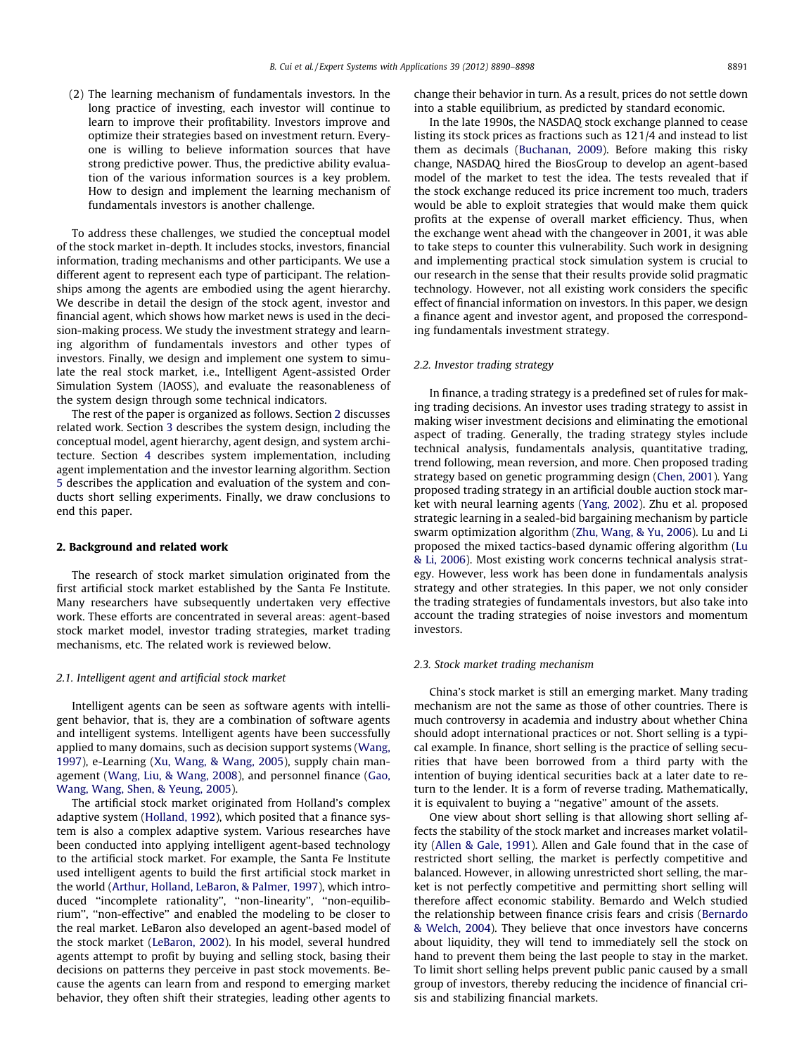(2) The learning mechanism of fundamentals investors. In the long practice of investing, each investor will continue to learn to improve their profitability. Investors improve and optimize their strategies based on investment return. Everyone is willing to believe information sources that have strong predictive power. Thus, the predictive ability evaluation of the various information sources is a key problem. How to design and implement the learning mechanism of fundamentals investors is another challenge.

To address these challenges, we studied the conceptual model of the stock market in-depth. It includes stocks, investors, financial information, trading mechanisms and other participants. We use a different agent to represent each type of participant. The relationships among the agents are embodied using the agent hierarchy. We describe in detail the design of the stock agent, investor and financial agent, which shows how market news is used in the decision-making process. We study the investment strategy and learning algorithm of fundamentals investors and other types of investors. Finally, we design and implement one system to simulate the real stock market, i.e., Intelligent Agent-assisted Order Simulation System (IAOSS), and evaluate the reasonableness of the system design through some technical indicators.

The rest of the paper is organized as follows. Section 2 discusses related work. Section [3](#page--1-0) describes the system design, including the conceptual model, agent hierarchy, agent design, and system architecture. Section [4](#page--1-0) describes system implementation, including agent implementation and the investor learning algorithm. Section [5](#page--1-0) describes the application and evaluation of the system and conducts short selling experiments. Finally, we draw conclusions to end this paper.

#### 2. Background and related work

The research of stock market simulation originated from the first artificial stock market established by the Santa Fe Institute. Many researchers have subsequently undertaken very effective work. These efforts are concentrated in several areas: agent-based stock market model, investor trading strategies, market trading mechanisms, etc. The related work is reviewed below.

### 2.1. Intelligent agent and artificial stock market

Intelligent agents can be seen as software agents with intelligent behavior, that is, they are a combination of software agents and intelligent systems. Intelligent agents have been successfully applied to many domains, such as decision support systems ([Wang,](#page--1-0) [1997\)](#page--1-0), e-Learning [\(Xu, Wang, & Wang, 2005](#page--1-0)), supply chain management [\(Wang, Liu, & Wang, 2008\)](#page--1-0), and personnel finance [\(Gao,](#page--1-0) [Wang, Wang, Shen, & Yeung, 2005](#page--1-0)).

The artificial stock market originated from Holland's complex adaptive system [\(Holland, 1992](#page--1-0)), which posited that a finance system is also a complex adaptive system. Various researches have been conducted into applying intelligent agent-based technology to the artificial stock market. For example, the Santa Fe Institute used intelligent agents to build the first artificial stock market in the world [\(Arthur, Holland, LeBaron, & Palmer, 1997](#page--1-0)), which introduced ''incomplete rationality'', ''non-linearity'', ''non-equilibrium'', ''non-effective'' and enabled the modeling to be closer to the real market. LeBaron also developed an agent-based model of the stock market ([LeBaron, 2002](#page--1-0)). In his model, several hundred agents attempt to profit by buying and selling stock, basing their decisions on patterns they perceive in past stock movements. Because the agents can learn from and respond to emerging market behavior, they often shift their strategies, leading other agents to

change their behavior in turn. As a result, prices do not settle down into a stable equilibrium, as predicted by standard economic.

In the late 1990s, the NASDAQ stock exchange planned to cease listing its stock prices as fractions such as 121/4 and instead to list them as decimals [\(Buchanan, 2009](#page--1-0)). Before making this risky change, NASDAQ hired the BiosGroup to develop an agent-based model of the market to test the idea. The tests revealed that if the stock exchange reduced its price increment too much, traders would be able to exploit strategies that would make them quick profits at the expense of overall market efficiency. Thus, when the exchange went ahead with the changeover in 2001, it was able to take steps to counter this vulnerability. Such work in designing and implementing practical stock simulation system is crucial to our research in the sense that their results provide solid pragmatic technology. However, not all existing work considers the specific effect of financial information on investors. In this paper, we design a finance agent and investor agent, and proposed the corresponding fundamentals investment strategy.

#### 2.2. Investor trading strategy

In finance, a trading strategy is a predefined set of rules for making trading decisions. An investor uses trading strategy to assist in making wiser investment decisions and eliminating the emotional aspect of trading. Generally, the trading strategy styles include technical analysis, fundamentals analysis, quantitative trading, trend following, mean reversion, and more. Chen proposed trading strategy based on genetic programming design [\(Chen, 2001\)](#page--1-0). Yang proposed trading strategy in an artificial double auction stock market with neural learning agents [\(Yang, 2002\)](#page--1-0). Zhu et al. proposed strategic learning in a sealed-bid bargaining mechanism by particle swarm optimization algorithm [\(Zhu, Wang, & Yu, 2006](#page--1-0)). Lu and Li proposed the mixed tactics-based dynamic offering algorithm ([Lu](#page--1-0) [& Li, 2006](#page--1-0)). Most existing work concerns technical analysis strategy. However, less work has been done in fundamentals analysis strategy and other strategies. In this paper, we not only consider the trading strategies of fundamentals investors, but also take into account the trading strategies of noise investors and momentum investors.

#### 2.3. Stock market trading mechanism

China's stock market is still an emerging market. Many trading mechanism are not the same as those of other countries. There is much controversy in academia and industry about whether China should adopt international practices or not. Short selling is a typical example. In finance, short selling is the practice of selling securities that have been borrowed from a third party with the intention of buying identical securities back at a later date to return to the lender. It is a form of reverse trading. Mathematically, it is equivalent to buying a ''negative'' amount of the assets.

One view about short selling is that allowing short selling affects the stability of the stock market and increases market volatility ([Allen & Gale, 1991\)](#page--1-0). Allen and Gale found that in the case of restricted short selling, the market is perfectly competitive and balanced. However, in allowing unrestricted short selling, the market is not perfectly competitive and permitting short selling will therefore affect economic stability. Bemardo and Welch studied the relationship between finance crisis fears and crisis [\(Bernardo](#page--1-0) [& Welch, 2004](#page--1-0)). They believe that once investors have concerns about liquidity, they will tend to immediately sell the stock on hand to prevent them being the last people to stay in the market. To limit short selling helps prevent public panic caused by a small group of investors, thereby reducing the incidence of financial crisis and stabilizing financial markets.